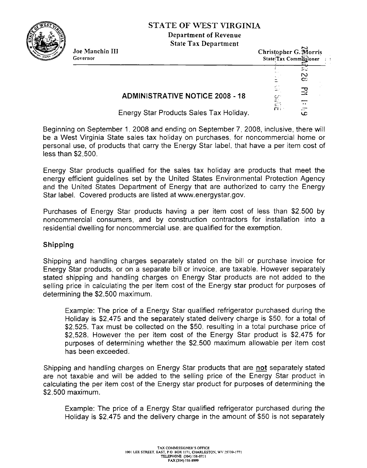**STATE OF WEST VIRGINL4 Department of Revenue** 



| Joe Manchin III<br>Governor | <b>State Tax Department</b>                                                                                                       | Christopher G. Horris<br>State Tax Commissioner<br>$1 - 1$ |               |
|-----------------------------|-----------------------------------------------------------------------------------------------------------------------------------|------------------------------------------------------------|---------------|
|                             |                                                                                                                                   |                                                            | N<br>$\infty$ |
|                             | <b>ADMINISTRATIVE NOTICE 2008 - 18</b>                                                                                            | MP <sub>S</sub>                                            | 곥             |
|                             | $\Gamma$ is a second $\Gamma$ . The contract of $\Gamma$ is a second $\Gamma$ in the contract of $\Gamma$ is a second of $\Gamma$ |                                                            | $\bullet$<br> |

- Energy Star Products Sales Tax Holiday. **G** 

Beginning on September I, 2008 and ending on September 7, 2008, inclusive, there will be a West Virginia State sales tax holiday on purchases, for noncommercial home or personal use, of products that carry the Energy Star label: that have a per item cost of less than \$2,500.

Energy Star products qualified for the sales tax holiday are products that meet the energy efficient guidelines set by the United States Environmental Protection Agency and the United States Department of Energy that are authorized to carry the Energy Star label. Covered products are listed at www.energystar.gov.

Purchases of Energy Star products having a per item cost of less than \$2.500 by noncommercial consumers, and by construction contractors for installation into a residential dwelling for noncommercial use, are qualified for the exemption.

## **Shipping**

Shipping and handling charges separately stated on the bill or purchase invoice for Energy Star products, or on a separate bill or invoice, are taxable. However separately stated shipping and handling charges on Energy Star products are not added to the selling price in calculating the per item cost of the Energy star product for purposes of determining the \$2,500 maximum.

Example: The price of a Energy Star qualified refrigerator purchased during the Holiday is \$2,475 and the separately stated delivery charge is \$50. for a total of \$2,525. Tax must be collected on the \$50, resulting in a total purchase price of \$2,528. However the per item cost of the Energy Star product is \$2,475 for purposes of determining whether the \$2,500 maximum allowable per item cost has been exceeded.

Shipping and handling charges on Energy Star products that are **not** separately stated are not taxable and will be added to the selling price of the Energy Star product in calculating the per item cost of the Energy star product for purposes of determining the \$2.500 maximum.

Example: The price of a Energy Star qualified refrigerator purchased during the Holiday is \$2,475 and the delivery charge in the amount of \$50 is not separately